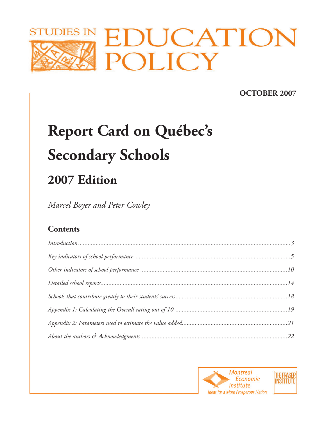

# **OCTOBER 2007**

# **Report Card on Québec's Secondary Schools**

# **2007 Edition**

*Marcel Boyer and Peter Cowley*

# **Contents**

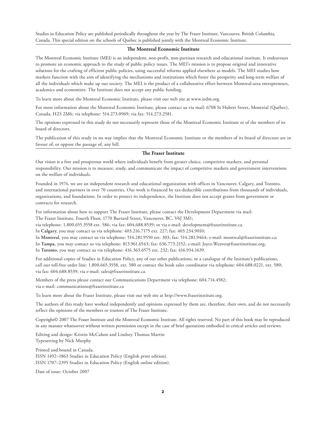Studies in Education Policy are published periodically throughout the year by The Fraser Institute, Vancouver, British Columbia, Canada. This special edition on the schools of Quebec is published jointly with the Montreal Economic Institute.

#### **The Montreal Economic Institute**

The Montreal Economic Institute (MEI) is an independent, non-profit, non-partisan research and educational institute. It endeavours to promote an economic approach to the study of public policy issues. The MEI's mission is to propose original and innovative solutions for the crafting of efficient public policies, using successful reforms applied elsewhere as models. The MEI studies how markets function with the aim of identifying the mechanisms and institutions which foster the prosperity and long-term welfare of all the individuals which make up our society. The MEI is the product of a collaborative effort between Montreal-area entrepreneurs, academics and economists. The Institute does not accept any public funding.

To learn more about the Montreal Economic Institute, please visit our web site at www.iedm.org.

For more information about the Montreal Economic Institute, please contact us via mail: 6708 St Hubert Street, Montréal (Québec), Canada, H2S 2M6; via telephone: 514.273.0969; via fax: 514.273.2581.

The opinions expressed in this study do not necessarily represent those of the Montreal Economic Institute or of the members of its board of directors.

The publication of this study in no way implies that the Montreal Economic Institute or the members of its board of directors are in favour of, or oppose the passage of, any bill.

#### **The Fraser Institute**

Our vision is a free and prosperous world where individuals benefit from greater choice, competitive markets, and personal responsibility. Our mission is to measure, study, and communicate the impact of competitive markets and government interventions on the welfare of individuals.

Founded in 1974, we are an independent research and educational organization with offices in Vancouver, Calgary, and Toronto, and international partners in over 70 countries. Our work is financed by tax-deductible contributions from thousands of individuals, organizations, and foundations. In order to protect its independence, the Institute does not accept grants from government or contracts for research.

For information about how to support The Fraser Institute, please contact the Development Department via mail: The Fraser Institute, Fourth Floor, 1770 Burrard Street, Vancouver, BC, V6J 3M1;

via telephone: 1.800.655.3558 ext. 586; via fax: 604.688.8539; or via e-mail: development@fraserinstitute.ca.

In **Calgary**, you may contact us via telephone: 403.216.7175 ext. 227; fax: 403.234.9010;

In **Montreal**, you may contact us via telephone: 514.281.9550 ext. 303; fax: 514.281.9464; e-mail: montreal@fraserinstitute.ca; In **Tampa**, you may contact us via telephone: 813.961.6543; fax: 636.773.2152; e-mail: Joyce.Weaver@fraserinstitute.org; In **Toronto**, you may contact us via telephone: 416.363.6575 ext. 232; fax: 416.934.1639.

For additional copies of Studies in Education Policy, any of our other publications, or a catalogue of the Institute's publications, call our toll-free order line: 1.800.665.3558, ext. 580 or contact the book sales coordinator via telephone: 604.688.0221, ext. 580; via fax: 604.688.8539; via e-mail: sales@fraserinstitute.ca.

Members of the press please contact our Communications Department via telephone: 604.714.4582; via e-mail: communications@fraserinstitute.ca

To learn more about the Fraser Institute, please visit our web site at http://www.fraserinstitute.org.

The authors of this study have worked independently and opinions expressed by them are, therefore, their own, and do not necessarily reflect the opinions of the members or trustees of The Fraser Institute.

Copyright© 2007 The Fraser Institute and the Montreal Economic Institute. All rights reserved. No part of this book may be reproduced in any manner whatsoever without written permission except in the case of brief quotations embodied in critical articles and reviews.

Editing and design: Kristin McCahon and Lindsey Thomas Martin Typesetting by Nick Murphy

Printed and bound in Canada. ISSN 1492–1863 Studies in Education Policy (English print edition). ISSN 1707–2395 Studies in Education Policy (English online edition).

Date of issue: October 2007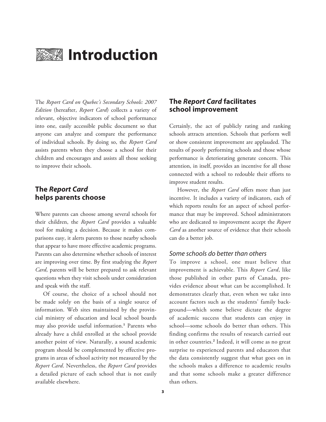

# **Introduction**

The *Report Card on Quebec's Secondary Schools: 2007 Edition* (hereafter, *Report Card*) collects a variety of relevant, objective indicators of school performance into one, easily accessible public document so that anyone can analyze and compare the performance of individual schools. By doing so, the *Report Card* assists parents when they choose a school for their children and encourages and assists all those seeking to improve their schools.

### **The Report Card helps parents choose**

Where parents can choose among several schools for their children, the *Report Card* provides a valuable tool for making a decision. Because it makes comparisons easy, it alerts parents to those nearby schools that appear to have more effective academic programs. Parents can also determine whether schools of interest are improving over time. By first studying the *Report Card*, parents will be better prepared to ask relevant questions when they visit schools under consideration and speak with the staff.

Of course, the choice of a school should not be made solely on the basis of a single source of information. Web sites maintained by the provincial ministry of education and local school boards may also provide useful information.**<sup>1</sup>** Parents who already have a child enrolled at the school provide another point of view. Naturally, a sound academic program should be complemented by effective programs in areas of school activity not measured by the *Report Card*. Nevertheless, the *Report Card* provides a detailed picture of each school that is not easily available elsewhere.

### **The Report Card facilitates school improvement**

Certainly, the act of publicly rating and ranking schools attracts attention. Schools that perform well or show consistent improvement are applauded. The results of poorly performing schools and those whose performance is deteriorating generate concern. This attention, in itself, provides an incentive for all those connected with a school to redouble their efforts to improve student results.

However, the *Report Card* offers more than just incentive. It includes a variety of indicators, each of which reports results for an aspect of school performance that may be improved. School administrators who are dedicated to improvement accept the *Report Card* as another source of evidence that their schools can do a better job.

#### Some schools do better than others

To improve a school, one must believe that improvement is achievable. This *Report Card*, like those published in other parts of Canada, provides evidence about what can be accomplished. It demonstrates clearly that, even when we take into account factors such as the students' family background—which some believe dictate the degree of academic success that students can enjoy in school—some schools do better than others. This finding confirms the results of research carried out in other countries.**<sup>2</sup>** Indeed, it will come as no great surprise to experienced parents and educators that the data consistently suggest that what goes on in the schools makes a difference to academic results and that some schools make a greater difference than others.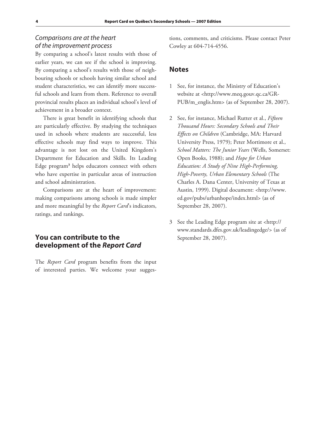### Comparisons are at the heart of the improvement process

By comparing a school's latest results with those of earlier years, we can see if the school is improving. By comparing a school's results with those of neighbouring schools or schools having similar school and student characteristics, we can identify more successful schools and learn from them. Reference to overall provincial results places an individual school's level of achievement in a broader context.

There is great benefit in identifying schools that are particularly effective. By studying the techniques used in schools where students are successful, less effective schools may find ways to improve. This advantage is not lost on the United Kingdom's Department for Education and Skills. Its Leading Edge program**<sup>3</sup>** helps educators connect with others who have expertise in particular areas of instruction and school administration.

Comparisons are at the heart of improvement: making comparisons among schools is made simpler and more meaningful by the *Report Card*'s indicators, ratings, and rankings.

# **You can contribute to the development of the Report Card**

The *Report Card* program benefits from the input of interested parties. We welcome your suggestions, comments, and criticisms. Please contact Peter Cowley at 604-714-4556.

#### **Notes**

- 1 See, for instance, the Ministry of Education's website at <http://www.meq.gouv.qc.ca/GR-PUB/m\_englis.htm> (as of September 28, 2007).
- 2 See, for instance, Michael Rutter et al., *Fifteen Thousand Hours: Secondary Schools and Their Effects on Children* (Cambridge, MA: Harvard University Press, 1979); Peter Mortimore et al., *School Matters: The Junior Years* (Wells, Somerset: Open Books, 1988); and *Hope for Urban Education: A Study of Nine High-Performing, High-Poverty, Urban Elementary Schools* (The Charles A. Dana Center, University of Texas at Austin, 1999). Digital document: <http://www. ed.gov/pubs/urbanhope/index.html> (as of September 28, 2007).
- 3 See the Leading Edge program site at <http:// www.standards.dfes.gov.uk/leadingedge/> (as of September 28, 2007).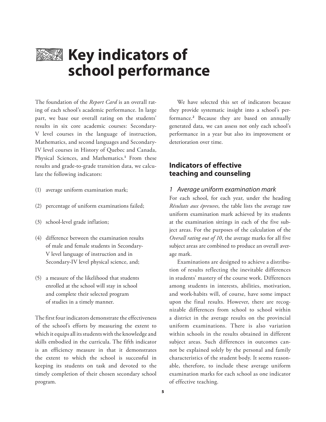

# **Key indicators of school performance**

The foundation of the *Report Card* is an overall rating of each school's academic performance. In large part, we base our overall rating on the students' results in six core academic courses: Secondary-V level courses in the language of instruction, Mathematics, and second languages and Secondary-IV level courses in History of Quebec and Canada, Physical Sciences, and Mathematics.**<sup>1</sup>** From these results and grade-to-grade transition data, we calculate the following indicators:

- (1) average uniform examination mark;
- (2) percentage of uniform examinations failed;
- (3) school-level grade inflation;
- (4) difference between the examination results of male and female students in Secondary-V level language of instruction and in Secondary-IV level physical science, and;
- (5) a measure of the likelihood that students enrolled at the school will stay in school and complete their selected program of studies in a timely manner.

The first four indicators demonstrate the effectiveness of the school's efforts by measuring the extent to which it equips all its students with the knowledge and skills embodied in the curricula. The fifth indicator is an efficiency measure in that it demonstrates the extent to which the school is successful in keeping its students on task and devoted to the timely completion of their chosen secondary school program.

We have selected this set of indicators because they provide systematic insight into a school's performance.**<sup>2</sup>** Because they are based on annually generated data, we can assess not only each school's performance in a year but also its improvement or deterioration over time.

### **Indicators of effective teaching and counseling**

#### 1 Average uniform examination mark

For each school, for each year, under the heading *Résultats aux épreuves*, the table lists the average raw uniform examination mark achieved by its students at the examination sittings in each of the five subject areas. For the purposes of the calculation of the *Overall rating out of 10*, the average marks for all five subject areas are combined to produce an overall average mark.

Examinations are designed to achieve a distribution of results reflecting the inevitable differences in students' mastery of the course work. Differences among students in interests, abilities, motivation, and work-habits will, of course, have some impact upon the final results. However, there are recognizable differences from school to school within a district in the average results on the provincial uniform examinations. There is also variation within schools in the results obtained in different subject areas. Such differences in outcomes cannot be explained solely by the personal and family characteristics of the student body. It seems reasonable, therefore, to include these average uniform examination marks for each school as one indicator of effective teaching.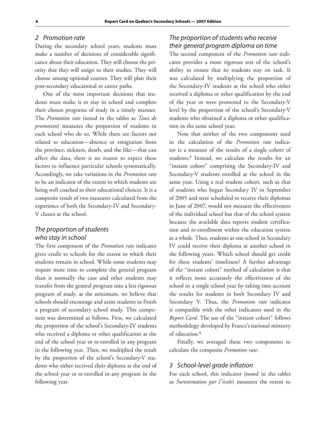#### 2 Promotion rate

During the secondary school years, students must make a number of decisions of considerable significance about their education. They will choose the priority that they will assign to their studies. They will choose among optional courses. They will plan their post-secondary educational or career paths.

One of the most important decisions that students must make is to stay in school and complete their chosen programs of study in a timely manner. The *Promotion rate* (noted in the tables as *Taux de promotion*) measures the proportion of students in each school who do so. While there are factors not related to education—absence or emigration from the province, sickness, death, and the like—that can affect the data, there is no reason to expect these factors to influence particular schools systematically. Accordingly, we take variations in the *Promotion rate* to be an indicator of the extent to which students are being well coached in their educational choices. It is a composite result of two measures calculated from the experience of both the Secondary-IV and Secondary-V classes at the school.

### The proportion of students who stay in school

The first component of the *Promotion rate* indicator gives credit to schools for the extent to which their students remain in school. While some students may require more time to complete the general program than is normally the case and other students may transfer from the general program into a less rigorous program of study, at the minimum, we believe that schools should encourage and assist students to finish a program of secondary school study. This component was determined as follows. First, we calculated the proportion of the school's Secondary-IV students who received a diploma or other qualification at the end of the school year or re-enrolled in any program in the following year. Then, we multiplied the result by the proportion of the school's Secondary-V students who either received their diploma at the end of the school year or re-enrolled in any program in the following year.

### The proportion of students who receive their general program diploma on time

The second component of the *Promotion rate* indicator provides a more rigorous test of the school's ability to ensure that its students stay on task. It was calculated by multiplying the proportion of the Secondary-IV students at the school who either received a diploma or other qualification by the end of the year or were promoted to the Secondary-V level by the proportion of the school's Secondary-V students who obtained a diploma or other qualification in the same school year.

Note that neither of the two components used in the calculation of the *Promotion rate* indicator is a measure of the results of a single cohort of students.**<sup>3</sup>** Instead, we calculate the results for an "instant cohort" comprising the Secondary-IV and Secondary-V students enrolled at the school in the same year. Using a real student cohort, such as that of students who began Secondary IV in September of 2005 and were scheduled to receive their diplomas in June of 2007, would not measure the effectiveness of the individual school but that of the school system because the available data reports student certification and re-enrollment within the education system as a whole. Thus, students at one school in Secondary IV could receive their diploma at another school in the following years. Which school should get credit for these students' timeliness? A further advantage of the "instant cohort" method of calculation is that it reflects more accurately the effectiveness of the school in a single school year by taking into account the results for students in both Secondary IV and Secondary V. Thus, the *Promotion rate* indicator is compatible with the other indicators used in the *Report Card*. The use of the "instant cohort" follows methodology developed by France's national ministry of education.**<sup>4</sup>**

Finally, we averaged these two components to calculate the composite *Promotion rate*.

#### 3 School-level grade inflation

For each school, this indicator (noted in the tables as *Surestimation par l'école*) measures the extent to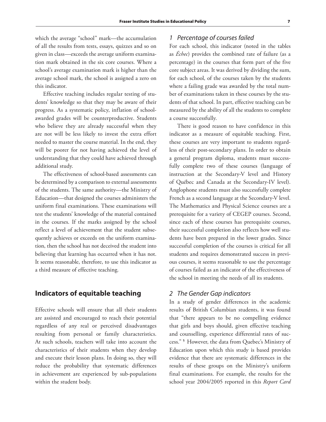which the average "school" mark—the accumulation of all the results from tests, essays, quizzes and so on given in class—exceeds the average uniform examination mark obtained in the six core courses. Where a school's average examination mark is higher than the average school mark, the school is assigned a zero on this indicator.

Effective teaching includes regular testing of students' knowledge so that they may be aware of their progress. As a systematic policy, inflation of schoolawarded grades will be counterproductive. Students who believe they are already successful when they are not will be less likely to invest the extra effort needed to master the course material. In the end, they will be poorer for not having achieved the level of understanding that they could have achieved through additional study.

The effectiveness of school-based assessments can be determined by a comparison to external assessments of the students. The same authority—the Ministry of Education—that designed the courses administers the uniform final examinations. These examinations will test the students' knowledge of the material contained in the courses. If the marks assigned by the school reflect a level of achievement that the student subsequently achieves or exceeds on the uniform examination, then the school has not deceived the student into believing that learning has occurred when it has not. It seems reasonable, therefore, to use this indicator as a third measure of effective teaching.

### **Indicators of equitable teaching**

Effective schools will ensure that all their students are assisted and encouraged to reach their potential regardless of any real or perceived disadvantages resulting from personal or family characteristics. At such schools, teachers will take into account the characteristics of their students when they develop and execute their lesson plans. In doing so, they will reduce the probability that systematic differences in achievement are experienced by sub-populations within the student body.

#### 1 Percentage of courses failed

For each school, this indicator (noted in the tables as *Échec*) provides the combined rate of failure (as a percentage) in the courses that form part of the five core subject areas. It was derived by dividing the sum, for each school, of the courses taken by the students where a failing grade was awarded by the total number of examinations taken in these courses by the students of that school. In part, effective teaching can be measured by the ability of all the students to complete a course successfully.

There is good reason to have confidence in this indicator as a measure of equitable teaching. First, these courses are very important to students regardless of their post-secondary plans. In order to obtain a general program diploma, students must successfully complete two of these courses (language of instruction at the Secondary-V level and History of Québec and Canada at the Secondary-IV level). Anglophone students must also successfully complete French as a second language at the Secondary-V level. The Mathematics and Physical Science courses are a prerequisite for a variety of CEGEP courses. Second, since each of these courses has prerequisite courses, their successful completion also reflects how well students have been prepared in the lower grades. Since successful completion of the courses is critical for all students and requires demonstrated success in previous courses, it seems reasonable to use the percentage of courses failed as an indicator of the effectiveness of the school in meeting the needs of all its students.

#### 2 The Gender Gap indicators

In a study of gender differences in the academic results of British Columbian students, it was found that "there appears to be no compelling evidence that girls and boys should, given effective teaching and counselling, experience differential rates of success." **<sup>5</sup>**However, the data from Quebec's Ministry of Education upon which this study is based provides evidence that there are systematic differences in the results of these groups on the Ministry's uniform final examinations. For example, the results for the school year 2004/2005 reported in this *Report Card*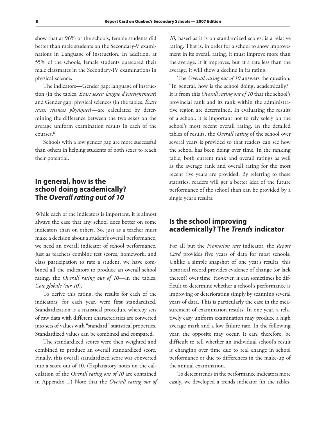show that at 96% of the schools, female students did better than male students on the Secondary-V examinations in Language of instruction. In addition, at 55% of the schools, female students outscored their male classmates in the Secondary-IV examinations in physical science.

The indicators—Gender gap: language of instruction (in the tables, *Écart sexes: langue d'enseignement*) and Gender gap: physical sciences (in the tables, *Écart sexes: sciences physiques*)—are calculated by determining the difference between the two sexes on the average uniform examination results in each of the courses.**<sup>6</sup>**

Schools with a low gender gap are more successful than others in helping students of both sexes to reach their potential.

# **In general, how is the school doing academically? The Overall rating out of 10**

While each of the indicators is important, it is almost always the case that any school does better on some indicators than on others. So, just as a teacher must make a decision about a student's overall performance, we need an overall indicator of school performance. Just as teachers combine test scores, homework, and class participation to rate a student, we have combined all the indicators to produce an overall school rating, the *Overall rating out of 10*—in the tables, *Cote globale (sur 10*).

To derive this rating, the results for each of the indicators, for each year, were first standardized. Standardization is a statistical procedure whereby sets of raw data with different characteristics are converted into sets of values with "standard" statistical properties. Standardized values can be combined and compared.

The standardized scores were then weighted and combined to produce an overall standardized score. Finally, this overall standardized score was converted into a score out of 10. (Explanatory notes on the calculation of the *Overall rating out of 10* are contained in Appendix 1.) Note that the *Overall rating out of* 

*10*, based as it is on standardized scores, is a relative rating. That is, in order for a school to show improvement in its overall rating, it must improve more than the average. If it improves, but at a rate less than the average, it will show a decline in its rating.

The *Overall rating out of 10* answers the question, "In general, how is the school doing, academically?" It is from this *Overall rating out of 10* that the school's provincial rank and its rank within the administrative region are determined. In evaluating the results of a school, it is important not to rely solely on the school's most recent overall rating. In the detailed tables of results, the *Overall rating* of the school over several years is provided so that readers can see how the school has been doing over time. In the ranking table, both current rank and overall ratings as well as the average rank and overall rating for the most recent five years are provided. By referring to these statistics, readers will get a better idea of the future performance of the school than can be provided by a single year's results.

# **Is the school improving academically? The Trends indicator**

For all but the *Promotion rate* indicator, the *Report Card* provides five years of data for most schools. Unlike a simple snapshot of one year's results, this historical record provides evidence of change (or lack thereof) over time. However, it can sometimes be difficult to determine whether a school's performance is improving or deteriorating simply by scanning several years of data. This is particularly the case in the measurement of examination results. In one year, a relatively easy uniform examination may produce a high average mark and a low failure rate. In the following year, the opposite may occur. It can, therefore, be difficult to tell whether an individual school's result is changing over time due to real change in school performance or due to differences in the make-up of the annual examination.

To detect trends in the performance indicators more easily, we developed a trends indicator (in the tables,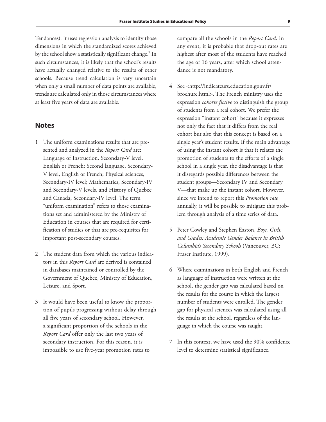Tendances). It uses regression analysis to identify those dimensions in which the standardized scores achieved by the school show a statistically significant change.**<sup>7</sup>** In such circumstances, it is likely that the school's results have actually changed relative to the results of other schools. Because trend calculation is very uncertain when only a small number of data points are available, trends are calculated only in those circumstances where at least five years of data are available.

#### **Notes**

- 1 The uniform examinations results that are presented and analyzed in the *Report Card* are: Language of Instruction, Secondary-V level, English or French; Second language, Secondary-V level, English or French; Physical sciences, Secondary-IV level; Mathematics, Secondary-IV and Secondary-V levels, and History of Quebec and Canada, Secondary-IV level. The term "uniform examination" refers to those examinations set and administered by the Ministry of Education in courses that are required for certification of studies or that are pre-requisites for important post-secondary courses.
- 2 The student data from which the various indicators in this *Report Card* are derived is contained in databases maintained or controlled by the Government of Quebec, Ministry of Education, Leisure, and Sport.
- 3 It would have been useful to know the proportion of pupils progressing without delay through all five years of secondary school. However, a significant proportion of the schools in the *Report Card* offer only the last two years of secondary instruction. For this reason, it is impossible to use five-year promotion rates to

compare all the schools in the *Report Card*. In any event, it is probable that drop-out rates are highest after most of the students have reached the age of 16 years, after which school attendance is not mandatory.

- 4 See <http://indicateurs.education.gouv.fr/ brochure.html>. The French ministry uses the expression *cohorte fictive* to distinguish the group of students from a real cohort. We prefer the expression "instant cohort" because it expresses not only the fact that it differs from the real cohort but also that this concept is based on a single year's student results. If the main advantage of using the instant cohort is that it relates the promotion of students to the efforts of a single school in a single year, the disadvantage is that it disregards possible differences between the student groups—Secondary IV and Secondary V—that make up the instant cohort. However, since we intend to report this *Promotion rate* annually, it will be possible to mitigate this problem through analysis of a time series of data.
- 5 Peter Cowley and Stephen Easton, *Boys, Girls, and Grades: Academic Gender Balance in British Columbia's Secondary Schools* (Vancouver, BC: Fraser Institute, 1999).
- 6 Where examinations in both English and French as language of instruction were written at the school, the gender gap was calculated based on the results for the course in which the largest number of students were enrolled. The gender gap for physical sciences was calculated using all the results at the school, regardless of the language in which the course was taught.
- 7 In this context, we have used the 90% confidence level to determine statistical significance.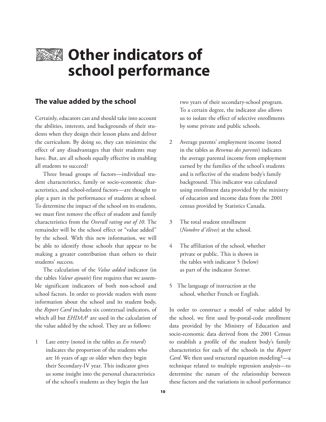

# **EXAMIOTHER INDICATORS of school performance**

#### **The value added by the school**

Certainly, educators can and should take into account the abilities, interests, and backgrounds of their students when they design their lesson plans and deliver the curriculum. By doing so, they can minimize the effect of any disadvantages that their students may have. But, are all schools equally effective in enabling all students to succeed?

Three broad groups of factors—individual student characteristics, family or socio-economic characteristics, and school-related factors—are thought to play a part in the performance of students at school. To determine the impact of the school on its students, we must first remove the effect of student and family characteristics from the *Overall rating out of 10*. The remainder will be the school effect or "value added" by the school. With this new information, we will be able to identify those schools that appear to be making a greater contribution than others to their students' success.

The calculation of the *Value added* indicator (in the tables *Valeur ajoutée*) first requires that we assemble significant indicators of both non-school and school factors. In order to provide readers with more information about the school and its student body, the *Report Card* includes six contextual indicators, of which all but *EHDAA***<sup>1</sup>** are used in the calculation of the value added by the school. They are as follows:

1 Late entry (noted in the tables as *En retard*) indicates the proportion of the students who are 16 years of age or older when they begin their Secondary-IV year. This indicator gives us some insight into the personal characteristics of the school's students as they begin the last

two years of their secondary-school program. To a certain degree, the indicator also allows us to isolate the effect of selective enrollments by some private and public schools.

- 2 Average parents' employment income (noted in the tables as *Revenus des parents*) indicates the average parental income from employment earned by the families of the school's students and is reflective of the student body's family background. This indicator was calculated using enrollment data provided by the ministry of education and income data from the 2001 census provided by Statistics Canada.
- 3 The total student enrollment (*Nombre d'élèves*) at the school.
- 4 The affiliation of the school, whether private or public. This is shown in the tables with indicator 5 (below) as part of the indicator *Secteur*.
- 5 The language of instruction at the school, whether French or English.

In order to construct a model of value added by the school, we first used by-postal-code enrollment data provided by the Ministry of Education and socio-economic data derived from the 2001 Census to establish a profile of the student body's family characteristics for each of the schools in the *Report Card*. We then used structural equation modeling**<sup>2</sup>** —a technique related to multiple regression analysis—to determine the nature of the relationship between these factors and the variations in school performance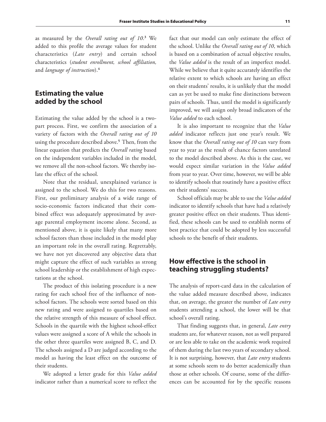as measured by the *Overall rating out of 10*. **3** We added to this profile the average values for student characteristics (*Late entry*) and certain school characteristics (*student enrollment, school affiliation,* and *language of instruction*).**<sup>4</sup>**

### **Estimating the value added by the school**

Estimating the value added by the school is a twopart process. First, we confirm the association of a variety of factors with the *Overall rating out of 10* using the procedure described above.**<sup>5</sup>**Then, from the linear equation that predicts the *Overall rating* based on the independent variables included in the model, we remove all the non-school factors. We thereby isolate the effect of the school.

Note that the residual, unexplained variance is assigned to the school. We do this for two reasons. First, our preliminary analysis of a wide range of socio-economic factors indicated that their combined effect was adequately approximated by average parental employment income alone. Second, as mentioned above, it is quite likely that many more school factors than those included in the model play an important role in the overall rating. Regrettably, we have not yet discovered any objective data that might capture the effect of such variables as strong school leadership or the establishment of high expectations at the school.

The product of this isolating procedure is a new rating for each school free of the influence of nonschool factors. The schools were sorted based on this new rating and were assigned to quartiles based on the relative strength of this measure of school effect. Schools in the quartile with the highest school-effect values were assigned a score of A while the schools in the other three quartiles were assigned B, C, and D. The schools assigned a D are judged according to the model as having the least effect on the outcome of their students.

We adopted a letter grade for this *Value added* indicator rather than a numerical score to reflect the

fact that our model can only estimate the effect of the school. Unlike the *Overall rating out of 10*, which is based on a combination of actual objective results, the *Value added* is the result of an imperfect model. While we believe that it quite accurately identifies the relative extent to which schools are having an effect on their students' results, it is unlikely that the model can as yet be used to make fine distinctions between pairs of schools. Thus, until the model is significantly improved, we will assign only broad indicators of the *Value added* to each school.

It is also important to recognize that the *Value added* indicator reflects just one year's result. We know that the *Overall rating out of 10* can vary from year to year as the result of chance factors unrelated to the model described above. As this is the case, we would expect similar variation in the *Value added* from year to year. Over time, however, we will be able to identify schools that routinely have a positive effect on their students' success.

School officials may be able to use the *Value added* indicator to identify schools that have had a relatively greater positive effect on their students. Thus identified, these schools can be used to establish norms of best practice that could be adopted by less successful schools to the benefit of their students.

# **How effective is the school in teaching struggling students?**

The analysis of report-card data in the calculation of the value added measure described above, indicates that, on average, the greater the number of *Late entry* students attending a school, the lower will be that school's overall rating.

That finding suggests that, in general, *Late entry* students are, for whatever reason, not as well prepared or are less able to take on the academic work required of them during the last two years of secondary school. It is not surprising, however, that *Late entry* students at some schools seem to do better academically than those at other schools. Of course, some of the differences can be accounted for by the specific reasons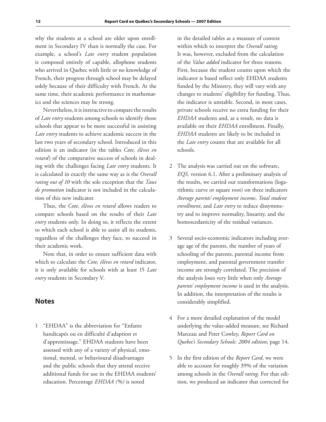why the students at a school are older upon enrollment in Secondary IV than is normally the case. For example, a school's *Late entry* student population is composed entirely of capable, allophone students who arrived in Quebec with little or no knowledge of French, their progress through school may be delayed solely because of their difficulty with French. At the same time, their academic performance in mathematics and the sciences may be strong.

Nevertheless, it is instructive to compare the results of *Late entry* students among schools to identify those schools that appear to be more successful in assisting *Late entry* students to achieve academic success in the last two years of secondary school. Introduced in this edition is an indicator (in the tables *Cote, élèves en retard*) of the comparative success of schools in dealing with the challenges facing *Late entry* students. It is calculated in exactly the same way as is the *Overall rating out of 10* with the sole exception that the *Taux de promotion* indicator is not included in the calculation of this new indicator.

Thus, the *Cote, élèves en retard* allows readers to compare schools based on the results of their *Late entry* students only. In doing so, it reflects the extent to which each school is able to assist all its students, regardless of the challenges they face, to succeed in their academic work.

Note that, in order to ensure sufficient data with which to calculate the *Cote, élèves en retard* indicator, it is only available for schools with at least 15 *Late entry* students in Secondary V.

#### **Notes**

1 "EHDAA" is the abbreviation for "Enfants handicapés ou en difficulté d'adaption et d'apprentissage." EHDAA students have been assessed with any of a variety of physical, emotional, mental, or behavioural disadvantages and the public schools that they attend receive additional funds for use in the EHDAA students' education. Percentage *EHDAA (%)* is noted

in the detailed tables as a measure of context within which to interpret the *Overall rating*. It was, however, excluded from the calculation of the *Value added* indicator for three reasons. First, because the student counts upon which the indicator is based reflect only EHDAA students funded by the Ministry, they will vary with any changes to students' eligibility for funding. Thus, the indicator is unstable. Second, in most cases, private schools receive no extra funding for their *EHDAA* students and, as a result, no data is available on their *EHDAA* enrollment. Finally, *EHDAA* students are likely to be included in the *Late entry* counts that are available for all schools.

- 2 The analysis was carried out on the software, *EQS,* version 6.1. After a preliminary analysis of the results, we carried out transformations (logarithmic curve or square root) on three indicators *Average parents' employment income*, *Total student enrollment*, and *Late entry* to reduce dissymmetry and to improve normality, linearity, and the homoscedasticity of the residual variances.
- 3 Several socio-economic indicators including average age of the parents, the number of years of schooling of the parents, parental income from employment, and parental government transfer income are strongly correlated. The precision of the analysis loses very little when only *Average parents' employment income* is used in the analysis. In addition, the interpretation of the results is considerably simplified.
- 4 For a more detailed explanation of the model underlying the value-added measure, see Richard Marceau and Peter Cowley, *Report Card on Quebec's Secondary Schools: 2004 edition*, page 14.
- 5 In the first edition of the *Report Card*, we were able to account for roughly 39% of the variation among schools in the *Overall rating*. For that edition, we produced an indicator that corrected for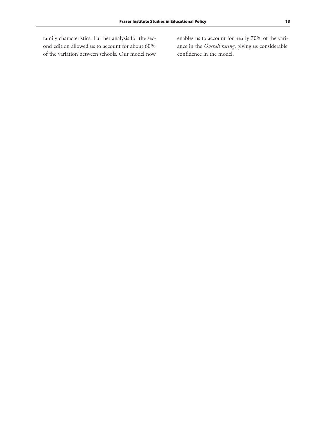family characteristics. Further analysis for the second edition allowed us to account for about 60% of the variation between schools. Our model now enables us to account for nearly 70% of the variance in the *Overall rating*, giving us considerable confidence in the model.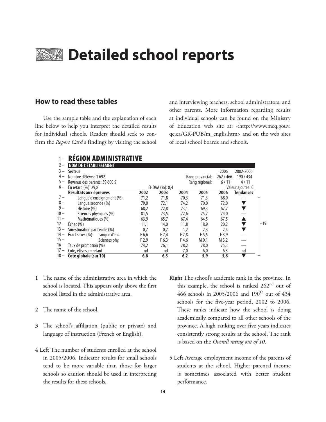# **EXAMERISHED Detailed school reports**

#### **How to read these tables**

Use the sample table and the explanation of each line below to help you interpret the detailed results for individual schools. Readers should seek to confirm the *Report Card*'s findings by visiting the school and interviewing teachers, school administrators, and other parents. More information regarding results at individual schools can be found on the Ministry of Education web site at: <http://www.meq.gouv. qc.ca/GR-PUB/m\_englis.htm> and on the web sites of local school boards and schools.

|        | <b>RÉGION ADMINISTRATIVE</b>      |       |                |       |                  |           |                   |       |
|--------|-----------------------------------|-------|----------------|-------|------------------|-----------|-------------------|-------|
| $2 -$  | <b>NOM DE L'ÉTABLISSEMENT</b>     |       |                |       |                  |           |                   |       |
|        | Secteur                           |       |                |       |                  | 2006      | 2002-2006         |       |
|        | Nombre d'élèves: 1692             |       |                |       | Rang provincial: | 262 / 466 | 190 / 434         |       |
| $5-$   | Revenus des parents: 59 600 \$    |       |                |       | Rang régional:   |           | 4/11              |       |
| $6-$   | En retard (%): 29,8               |       | EHDAA (%): 8,4 |       |                  |           | Valeur ajoutée: C |       |
|        | Résultats aux épreuves            | 2002  | 2003           | 2004  | 2005             | 2006      | <b>Tendances</b>  |       |
| $7 -$  | Langue d'enseignement (%)         | 71,2  | 71,8           | 70,3  | 71,3             | 68,0      |                   |       |
| $8-$   | Langue seconde (%)                | 79,0  | 72,1           | 74,2  | 70,0             | 72,0      |                   |       |
| $9-$   | Histoire (%)                      | 68,2  | 72,8           | 73,1  | 69,3             | 67,7      |                   |       |
| $10 -$ | Sciences physiques (%)            | 81,5  | 73,5           | 72,6  | 75,7             | 74,0      |                   |       |
| $11 -$ | Mathématiques (%)                 | 63,9  | 65,7           | 67,4  | 64,5             | 67,5      |                   |       |
| $12 -$ | Échec (%)                         | 11,1  | 14,0           | 11,8  | 18,9             | 20,2      |                   | $-19$ |
| $13 -$ | Surestimation par l'école (%)     | 0,7   | 0,7            | 1,2   | 2,3              | 2,4       |                   |       |
| $14 -$ | Écart sexes (%):<br>Langue d'ens. | F 6,6 | F 7,4          | F2,8  | F 5,5            | F3,9      |                   |       |
| $15 -$ | Sciences phy.                     | F2,9  | F 6,3          | F 4,6 | M <sub>0.1</sub> | M 3,2     |                   |       |
| $16 -$ | Taux de promotion (%)             | 74,2  | 76,1           | 78,2  | 78,0             | 75,3      |                   |       |
| $17 -$ | Cote, élèves en retard            | nd    | nd             | 7,0   | 6,0              | 6,3       | nd                |       |
| $18 -$ | Cote globale (sur 10)             | 6,6   | 6,3            | 6,2   | 5,9              | 5,8       |                   |       |

- **1** The name of the administrative area in which the school is located. This appears only above the first school listed in the administrative area.
- **2** The name of the school.
- **3** The school's affiliation (public or private) and language of instruction (French or English).
- **4 Left** The number of students enrolled at the school in 2005/2006. Indicator results for small schools tend to be more variable than those for larger schools so caution should be used in interpreting the results for these schools.
- **Right** The school's academic rank in the province. In this example, the school is ranked 262nd out of 466 schools in 2005/2006 and 190th out of 434 schools for the five-year period, 2002 to 2006. These ranks indicate how the school is doing academically compared to all other schools of the province. A high ranking over five years indicates consistently strong results at the school. The rank is based on the *Overall rating out of 10*.
- **5 Left** Average employment income of the parents of students at the school. Higher parental income is sometimes associated with better student performance.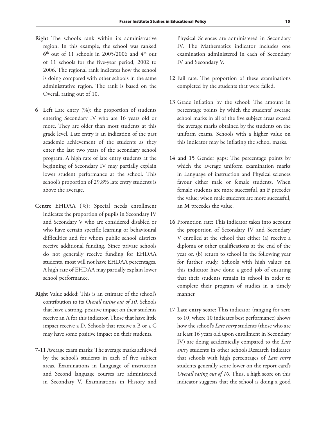- **Right** The school's rank within its administrative region. In this example, the school was ranked  $6<sup>th</sup>$  out of 11 schools in 2005/2006 and  $4<sup>th</sup>$  out of 11 schools for the five-year period, 2002 to 2006. The regional rank indicates how the school is doing compared with other schools in the same administrative region. The rank is based on the Overall rating out of 10.
- **6 Left** Late entry (%): the proportion of students entering Secondary IV who are 16 years old or more. They are older than most students at this grade level. Late entry is an indication of the past academic achievement of the students as they enter the last two years of the secondary school program. A high rate of late entry students at the beginning of Secondary IV may partially explain lower student performance at the school. This school's proportion of 29.8% late entry students is above the average.
- **Centre** EHDAA (%): Special needs enrollment indicates the proportion of pupils in Secondary IV and Secondary V who are considered disabled or who have certain specific learning or behavioural difficulties and for whom public school districts receive additional funding. Since private schools do not generally receive funding for EHDAA students, most will not have EHDAA percentages. A high rate of EHDAA may partially explain lower school performance.
- **Right** Value added: This is an estimate of the school's contribution to its *Overall rating out of 10*. Schools that have a strong, positive impact on their students receive an A for this indicator. Those that have little impact receive a D. Schools that receive a B or a C may have some positive impact on their students.
- **7-11** Average exam marks: The average marks achieved by the school's students in each of five subject areas. Examinations in Language of instruction and Second language courses are administered in Secondary V. Examinations in History and

Physical Sciences are administered in Secondary IV. The Mathematics indicator includes one examination administered in each of Secondary IV and Secondary V.

- **12** Fail rate: The proportion of these examinations completed by the students that were failed.
- **13** Grade inflation by the school: The amount in percentage points by which the students' average school marks in all of the five subject areas exceed the average marks obtained by the students on the uniform exams. Schools with a higher value on this indicator may be inflating the school marks.
- **14 and 15** Gender gaps: The percentage points by which the average uniform examination marks in Language of instruction and Physical sciences favour either male or female students. When female students are more successful, an **F** precedes the value; when male students are more successful, an **M** precedes the value.
- **16** Promotion rate: This indicator takes into account the proportion of Secondary IV and Secondary V enrolled at the school that either (a) receive a diploma or other qualifications at the end of the year or, (b) return to school in the following year for further study. Schools with high values on this indicator have done a good job of ensuring that their students remain in school in order to complete their program of studies in a timely manner.
- **17 Late entry score:** This indicator (ranging for zero to 10, where 10 indicates best performance) shows how the school's *Late entry* students (those who are at least 16 years old upon enrollment in Secondary IV) are doing academically compared to the *Late entry* students in other schools.Research indicates that schools with high percentages of *Late entry*  students generally score lower on the report card's *Overall rating out of 10*. Thus, a high score on this indicator suggests that the school is doing a good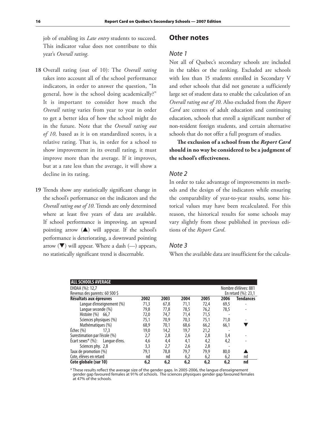job of enabling its *Late entry* students to succeed. This indicator value does not contribute to this year's *Overall rating*.

- **18** Overall rating (out of 10): The *Overall rating* takes into account all of the school performance indicators, in order to answer the question, "In general, how is the school doing academically?" It is important to consider how much the *Overall rating* varies from year to year in order to get a better idea of how the school might do in the future. Note that the *Overall rating out of 10*, based as it is on standardized scores, is a relative rating. That is, in order for a school to show improvement in its overall rating, it must improve more than the average. If it improves, but at a rate less than the average, it will show a decline in its rating.
- **19** Trends show any statistically significant change in the school's performance on the indicators and the *Overall rating out of 10*. Trends are only determined where at least five years of data are available. If school performance is improving, an upward pointing arrow  $($ ) will appear. If the school's performance is deteriorating, a downward pointing arrow  $(\blacktriangledown)$  will appear. Where a dash  $(-)$  appears, no statistically significant trend is discernable.

#### **Other notes**

#### Note 1

Not all of Quebec's secondary schools are included in the tables or the ranking. Excluded are schools with less than 15 students enrolled in Secondary V and other schools that did not generate a sufficiently large set of student data to enable the calculation of an *Overall rating out of 10*. Also excluded from the *Report Card* are centres of adult education and continuing education, schools that enroll a significant number of non-resident foreign students, and certain alternative schools that do not offer a full program of studies.

**The exclusion of a school from the** *Report Card* **should in no way be considered to be a judgment of the school's effectiveness.** 

#### Note 2

In order to take advantage of improvements in methods and the design of the indicators while ensuring the comparability of year-to-year results, some historical values may have been recalculated. For this reason, the historical results for some schools may vary slightly from those published in previous editions of the *Report Card*.

#### Note 3

When the available data are insufficient for the calcula-

| <b>ALL SCHOOLS AVERAGE</b>          |      |      |                        |      |                      |                  |  |  |  |
|-------------------------------------|------|------|------------------------|------|----------------------|------------------|--|--|--|
| EHDAA (%): 12,7                     |      |      |                        |      | Nombre d'élèves: 881 |                  |  |  |  |
| Revenus des parents: 60 500 \$      |      |      | En retard $(\%): 23.1$ |      |                      |                  |  |  |  |
| Résultats aux épreuves              | 2002 | 2003 | 2004                   | 2005 | 2006                 | <b>Tendances</b> |  |  |  |
| Langue d'enseignement (%)           | 71,3 | 67,8 | 71,1                   | 72,4 | 69,5                 |                  |  |  |  |
| Langue seconde (%)                  | 79,8 | 77,8 | 78,5                   | 76,2 | 78,5                 |                  |  |  |  |
| Histoire (%) 66.7                   | 72,0 | 74.7 | 71.4                   | 71,5 |                      |                  |  |  |  |
| Sciences physiques (%)              | 75,1 | 70.9 | 70.3                   | 75,1 | 71,0                 |                  |  |  |  |
| Mathématiques (%)                   | 68,9 | 70,1 | 68,6                   | 66,2 | 66,1                 |                  |  |  |  |
| $E$ chec $(\%)$<br>17.3             | 19,0 | 14,2 | 19,7                   | 21,2 |                      |                  |  |  |  |
| Surestimation par l'école (%)       | 2,7  | 2,8  | 2,6                    | 2,8  | 3,4                  |                  |  |  |  |
| Ecart sexes* $(\%)$ : Langue d'ens. | 4,6  | 4,4  | 4,1                    | 4,2  | 4,2                  |                  |  |  |  |
| Sciences phy. 2,8                   | 3,3  | 2,7  | 2,6                    | 2,8  |                      |                  |  |  |  |
| Taux de promotion (%)               | 79,1 | 78,8 | 79,7                   | 79,9 | 80,0                 |                  |  |  |  |
| Cote, élèves en retard              | nd   | nd   | 6,2                    | 6,2  | 6,2                  | nd               |  |  |  |
| Cote globale (sur 10)               | 6,2  | 6,2  | 6,2                    | 6,2  | 6,2                  | nd               |  |  |  |

\* These results reflect the average size of the gender gaps. In 2005-2006, the langue d'enseignement gender gap favoured females at 91% of schools. The sciences physiques gender gap favoured females at 47% of the schools.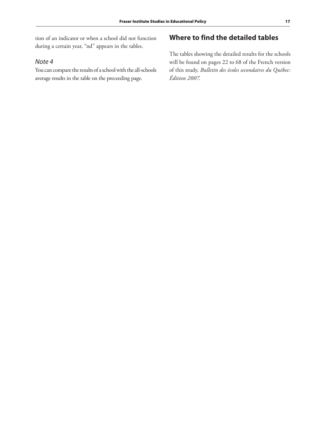tion of an indicator or when a school did not function during a certain year, "nd" appears in the tables.

#### Note 4

You can compare the results of a school with the all-schools average results in the table on the preceeding page.

# **Where to find the detailed tables**

The tables showing the detailed results for the schools will be found on pages 22 to 68 of the French version of this study, *Bulletin des écoles secondaires du Québec: Édition 2007*.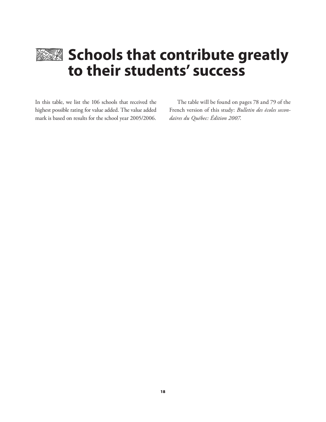

# **Schools that contribute greatly to their students' success**

In this table, we list the 106 schools that received the highest possible rating for value added. The value added mark is based on results for the school year 2005/2006.

The table will be found on pages 78 and 79 of the French version of this study: *Bulletin des écoles secondaires du Québec: Édition 2007*.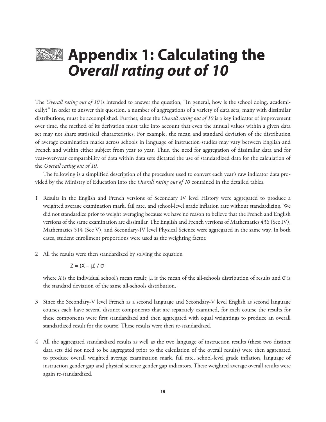# **EXX** Appendix 1: Calculating the **Overall rating out of 10**

The *Overall rating out of 10* is intended to answer the question, "In general, how is the school doing, academically?" In order to answer this question, a number of aggregations of a variety of data sets, many with dissimilar distributions, must be accomplished. Further, since the *Overall rating out of 10* is a key indicator of improvement over time, the method of its derivation must take into account that even the annual values within a given data set may not share statistical characteristics. For example, the mean and standard deviation of the distribution of average examination marks across schools in language of instruction studies may vary between English and French and within either subject from year to year. Thus, the need for aggregation of dissimilar data and for year-over-year comparability of data within data sets dictated the use of standardized data for the calculation of the *Overall rating out of 10*.

The following is a simplified description of the procedure used to convert each year's raw indicator data provided by the Ministry of Education into the *Overall rating out of 10* contained in the detailed tables.

- 1 Results in the English and French versions of Secondary IV level History were aggregated to produce a weighted average examination mark, fail rate, and school-level grade inflation rate without standardizing. We did not standardize prior to weight averaging because we have no reason to believe that the French and English versions of the same examination are dissimilar. The English and French versions of Mathematics 436 (Sec IV), Mathematics 514 (Sec V), and Secondary-IV level Physical Science were aggregated in the same way. In both cases, student enrollment proportions were used as the weighting factor.
- 2 All the results were then standardized by solving the equation

$$
Z=(X-\mu)\;/\;\sigma
$$

where *X* is the individual school's mean result;  $\mu$  is the mean of the all-schools distribution of results and  $\sigma$  is the standard deviation of the same all-schools distribution.

- 3 Since the Secondary-V level French as a second language and Secondary-V level English as second language courses each have several distinct components that are separately examined, for each course the results for these components were first standardized and then aggregated with equal weightings to produce an overall standardized result for the course. These results were then re-standardized.
- 4 All the aggregated standardized results as well as the two language of instruction results (these two distinct data sets did not need to be aggregated prior to the calculation of the overall results) were then aggregated to produce overall weighted average examination mark, fail rate, school-level grade inflation, language of instruction gender gap and physical science gender gap indicators. These weighted average overall results were again re-standardized.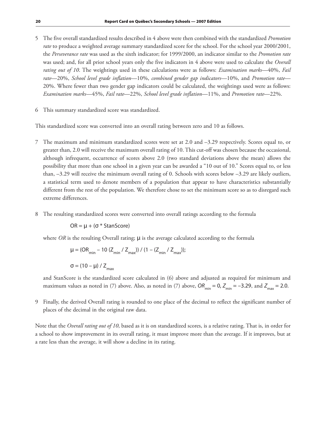- 5 The five overall standardized results described in 4 above were then combined with the standardized *Promotion rate* to produce a weighted average summary standardized score for the school. For the school year 2000/2001, the *Perseverance rate* was used as the sixth indicator; for 1999/2000, an indicator similar to the *Promotion rate* was used; and, for all prior school years only the five indicators in 4 above were used to calculate the *Overall rating out of 10*. The weightings used in these calculations were as follows: *Examination marks*—40%, *Fail rate*—20%, *School level grade inflation*—10%, *combined gender gap indicators*—10%, and *Promotion rate*— 20%. Where fewer than two gender gap indicators could be calculated, the weightings used were as follows: *Examination marks*—45%, *Fail rate*—22%, *School level grade inflation*—11%, and *Promotion rate*—22%.
- 6 This summary standardized score was standardized.

This standardized score was converted into an overall rating between zero and 10 as follows.

- 7 The maximum and minimum standardized scores were set at 2.0 and –3.29 respectively. Scores equal to, or greater than, 2.0 will receive the maximum overall rating of 10. This cut-off was chosen because the occasional, although infrequent, occurrence of scores above 2.0 (two standard deviations above the mean) allows the possibility that more than one school in a given year can be awarded a "10 out of 10." Scores equal to, or less than, –3.29 will receive the minimum overall rating of 0. Schools with scores below –3.29 are likely outliers, a statistical term used to denote members of a population that appear to have characteristics substantially different from the rest of the population. We therefore chose to set the minimum score so as to disregard such extreme differences.
- 8 The resulting standardized scores were converted into overall ratings according to the formula

 $OR = \mu + (σ * StanScore)$ 

where *OR* is the resulting Overall rating;  $\mu$  is the average calculated according to the formula

$$
\mu = (OR_{\min} - 10 (Z_{\min} / Z_{\max})) / (1 - (Z_{\min} / Z_{\max}))
$$

 $σ = (10 – μ) / Z_{max}$ 

and StanScore is the standardized score calculated in (6) above and adjusted as required for minimum and maximum values as noted in (7) above. Also, as noted in (7) above,  $OR_{min} = 0$ ,  $Z_{min} = -3.29$ , and  $Z_{max} = 2.0$ .

9 Finally, the derived Overall rating is rounded to one place of the decimal to reflect the significant number of places of the decimal in the original raw data.

Note that the *Overall rating out of 10*, based as it is on standardized scores, is a relative rating. That is, in order for a school to show improvement in its overall rating, it must improve more than the average. If it improves, but at a rate less than the average, it will show a decline in its rating.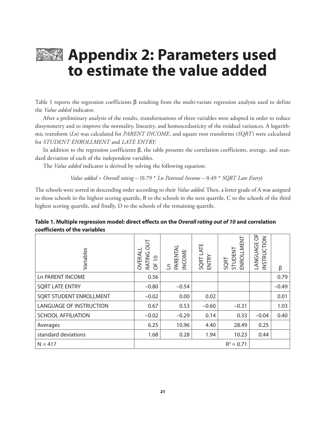

# **Appendix 2: Parameters used to estimate the value added**

Table 1 reports the regression coefficients β resulting from the multi-variate regression analysis used to define the *Value added* indicator.

After a preliminary analysis of the results, transformations of three variables were adopted in order to reduce dissymmetry and to improve the normality, linearity, and homoscedasticity of the residual variances. A logarithmic transform (*Ln*) was calculated for *PARENT INCOME*, and square root transforms (*SQRT*) were calculated for *STUDENT ENROLLMENT* and *LATE ENTRY*.

In addition to the regression coefficients β, the table presents the correlation coefficients, average, and standard deviation of each of the independent variables.

The *Value added* indicator is derived by solving the following equation:

 *Value added* = *Overall rating* – (0.79 \* *Ln Parental Income* – 0.49 \* *SQRT Late Entry*)

The schools were sorted in descending order according to their *Value added*. Then, a letter grade of A was assigned to those schools in the highest scoring quartile, B to the schools in the next quartile, C to the schools of the third highest scoring quartile, and finally, D to the schools of the remaining quartile.

| Variables                      | $rac{1}{2}$<br>OVERALI<br><b>RATING</b><br>$\overline{0}$<br>5 | PARENTAL<br>INCOME<br>£ | SQRT LATE<br>ENTRY | <b>ENROLLMENT</b><br>STUDENT<br>SQRT | ඊ<br>INSTRUCTION<br>LANGUAGE | β       |
|--------------------------------|----------------------------------------------------------------|-------------------------|--------------------|--------------------------------------|------------------------------|---------|
| <b>Ln PARENT INCOME</b>        | 0.56                                                           |                         |                    |                                      |                              | 0.79    |
| <b>SQRT LATE ENTRY</b>         | $-0.80$                                                        | $-0.54$                 |                    |                                      |                              | $-0.49$ |
| <b>SQRT STUDENT ENROLLMENT</b> | $-0.02$                                                        | 0.00                    | 0.02               |                                      |                              | 0.01    |
| <b>LANGUAGE OF INSTRUCTION</b> | 0.67                                                           | 0.53                    | $-0.60$            | $-0.31$                              |                              | 1.03    |
| <b>SCHOOL AFFILIATION</b>      | $-0.02$                                                        | $-0.29$                 | 0.14               | 0.33                                 | $-0.04$                      | 0.40    |
| Averages                       | 6.25                                                           | 10.96                   | 4.40               | 28.49                                | 0.25                         |         |
| standard deviations            | 1.68                                                           | 0.28                    | 1.94               | 10.23                                | 0.44                         |         |
| $N = 417$                      |                                                                |                         |                    | $R^2 = 0.71$                         |                              |         |

#### **Table 1. Multiple regression model: direct effects on the Overall rating out of 10 and correlation coefficients of the variables**